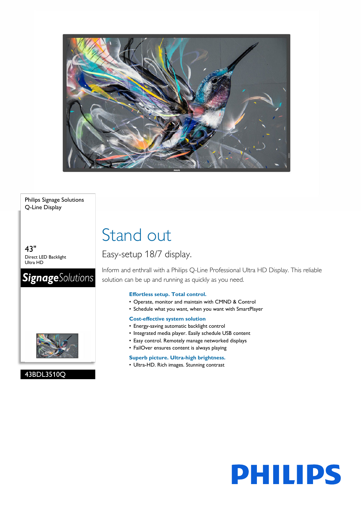

#### Philips Signage Solutions Q-Line Display

43" Direct LED Backlight Ultra HD

# **SignageSolutions**



### 43BDL3510Q

# Stand out

## Easy-setup 18/7 display.

Inform and enthrall with a Philips Q-Line Professional Ultra HD Display. This reliable solution can be up and running as quickly as you need.

### **Effortless setup. Total control.**

- Operate, monitor and maintain with CMND & Control
- Schedule what you want, when you want with SmartPlayer

#### **Cost-effective system solution**

- Energy-saving automatic backlight control
- Integrated media player. Easily schedule USB content
- Easy control. Remotely manage networked displays
- FailOver ensures content is always playing

#### **Superb picture. Ultra-high brightness.**

• Ultra-HD. Rich images. Stunning contrast

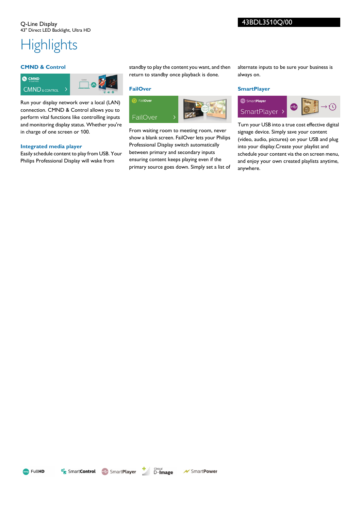# **Highlights**

#### **CMND & Control**



Run your display network over a local (LAN) connection. CMND & Control allows you to perform vital functions like controlling inputs and monitoring display status. Whether you're in charge of one screen or 100.

#### **Integrated media player**

Easily schedule content to play from USB. Your Philips Professional Display will wake from

standby to play the content you want, and then return to standby once playback is done.

#### **FailOver**



From waiting room to meeting room, never show a blank screen. FailOver lets your Philips Professional Display switch automatically between primary and secondary inputs ensuring content keeps playing even if the primary source goes down. Simply set a list of alternate inputs to be sure your business is always on.

#### **SmartPlayer**



Turn your USB into a true cost effective digital signage device. Simply save your content (video, audio, pictures) on your USB and plug into your display.Create your playlist and schedule your content via the on screen menu, and enjoy your own created playlists anytime, anywhere.